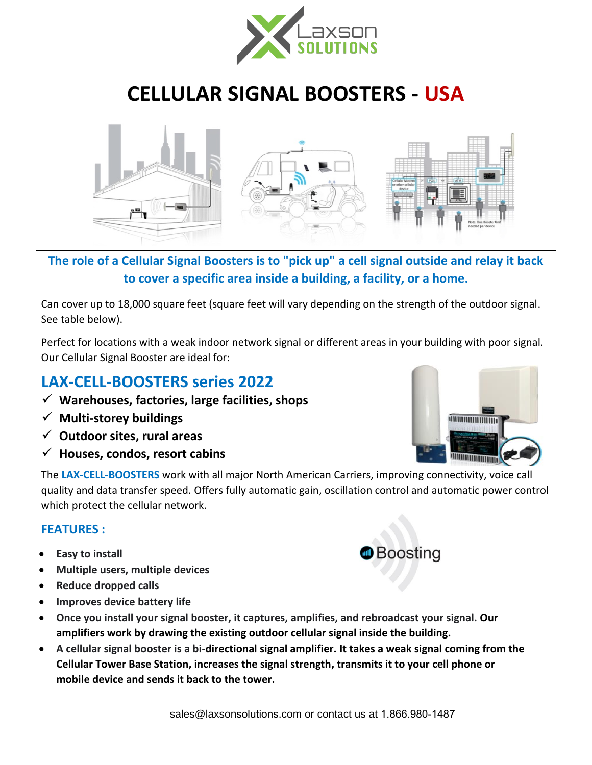

# **CELLULAR SIGNAL BOOSTERS - USA**



# **The role of a Cellular Signal Boosters is to "pick up" a cell signal outside and relay it back to cover a specific area inside a building, a facility, or a home.**

Can cover up to 18,000 square feet (square feet will vary depending on the strength of the outdoor signal. See table below).

Perfect for locations with a weak indoor network signal or different areas in your building with poor signal. Our Cellular Signal Booster are ideal for:

# **LAX-CELL-BOOSTERS series 2022**

- ✓ **Warehouses, factories, large facilities, shops**
- ✓ **Multi-storey buildings**
- ✓ **Outdoor sites, rural areas**
- ✓ **Houses, condos, resort cabins**

The **LAX-CELL-BOOSTERS** work with all major North American Carriers, improving connectivity, voice call quality and data transfer speed. Offers fully automatic gain, oscillation control and automatic power control which protect the cellular network.

### **FEATURES :**

- **Easy to install**
- **Multiple users, multiple devices**
- **Reduce dropped calls**
- **Improves device battery life**
- **Once you install your signal booster, it captures, amplifies, and rebroadcast your signal. Our amplifiers work by drawing the existing outdoor cellular signal inside the building.**
- **A cellular signal booster is a bi-directional signal amplifier. It takes a weak signal coming from the Cellular Tower Base Station, increases the signal strength, transmits it to your cell phone or mobile device and sends it back to the tower.**



**Boosting**